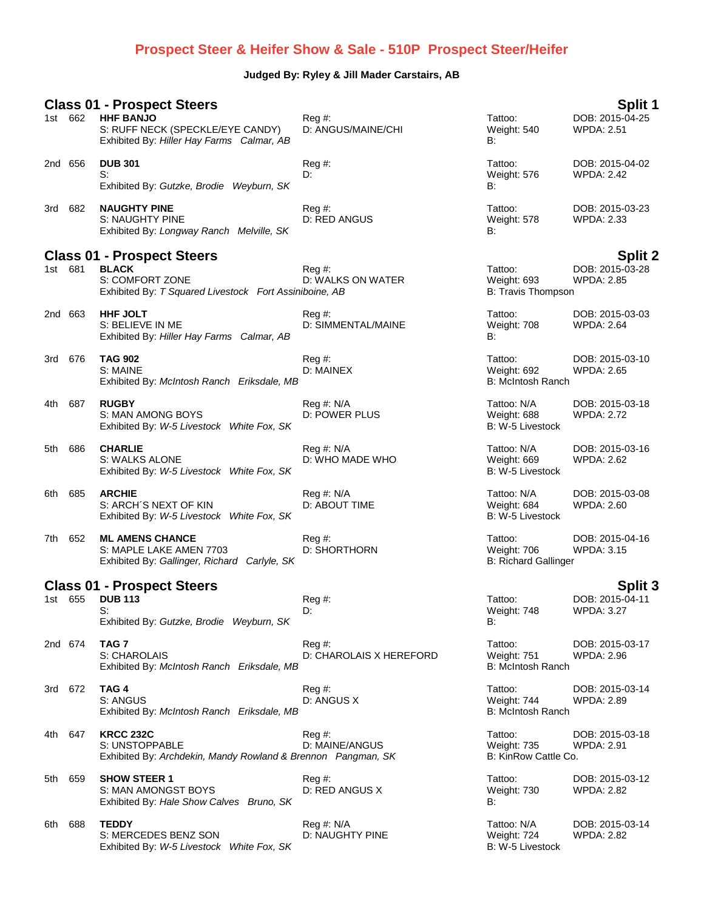## **Prospect Steer & Heifer Show & Sale - 510P Prospect Steer/Heifer**

## **Judged By: Ryley & Jill Mader Carstairs, AB**

|                                                     |         | <b>Class 01 - Prospect Steers</b>                                                                  |                                   |                                                       | Split 1                              |
|-----------------------------------------------------|---------|----------------------------------------------------------------------------------------------------|-----------------------------------|-------------------------------------------------------|--------------------------------------|
|                                                     | 1st 662 | <b>HHF BANJO</b><br>S: RUFF NECK (SPECKLE/EYE CANDY)<br>Exhibited By: Hiller Hay Farms Calmar, AB  | $Req \#$ :<br>D: ANGUS/MAINE/CHI  | Tattoo:<br>Weight: 540<br>В:                          | DOB: 2015-04-25<br><b>WPDA: 2.51</b> |
|                                                     | 2nd 656 | <b>DUB 301</b><br>S:                                                                               | $Reg#$ :<br>D:                    | Tattoo:<br>Weight: 576                                | DOB: 2015-04-02<br><b>WPDA: 2.42</b> |
|                                                     |         | Exhibited By: Gutzke, Brodie Weyburn, SK                                                           |                                   | В:                                                    |                                      |
|                                                     | 3rd 682 | <b>NAUGHTY PINE</b><br>S: NAUGHTY PINE<br>Exhibited By: Longway Ranch Melville, SK                 | Reg#<br>D: RED ANGUS              | Tattoo:<br>Weight: 578<br>B:                          | DOB: 2015-03-23<br><b>WPDA: 2.33</b> |
|                                                     |         | <b>Class 01 - Prospect Steers</b>                                                                  |                                   |                                                       | <b>Split 2</b>                       |
|                                                     | 1st 681 | <b>BLACK</b><br>S: COMFORT ZONE<br>Exhibited By: T Squared Livestock Fort Assiniboine, AB          | $Reg#$ :<br>D: WALKS ON WATER     | Tattoo:<br>Weight: 693<br>B: Travis Thompson          | DOB: 2015-03-28<br><b>WPDA: 2.85</b> |
|                                                     | 2nd 663 | <b>HHF JOLT</b><br>S: BELIEVE IN ME<br>Exhibited By: Hiller Hay Farms Calmar, AB                   | Reg#<br>D: SIMMENTAL/MAINE        | Tattoo:<br>Weight: 708<br>B:                          | DOB: 2015-03-03<br><b>WPDA: 2.64</b> |
|                                                     | 3rd 676 | <b>TAG 902</b><br>S: MAINE<br>Exhibited By: McIntosh Ranch Eriksdale, MB                           | $\text{Re}q \#$ :<br>D: MAINEX    | Tattoo:<br>Weight: 692<br>B: McIntosh Ranch           | DOB: 2015-03-10<br><b>WPDA: 2.65</b> |
| 4th.                                                | 687     | <b>RUGBY</b><br>S: MAN AMONG BOYS<br>Exhibited By: W-5 Livestock White Fox, SK                     | Reg #: N/A<br>D: POWER PLUS       | Tattoo: N/A<br>Weight: 688<br>B: W-5 Livestock        | DOB: 2015-03-18<br><b>WPDA: 2.72</b> |
| 5th                                                 | 686     | <b>CHARLIE</b><br>S: WALKS ALONE<br>Exhibited By: W-5 Livestock White Fox, SK                      | Reg #: N/A<br>D: WHO MADE WHO     | Tattoo: N/A<br>Weight: 669<br>B: W-5 Livestock        | DOB: 2015-03-16<br><b>WPDA: 2.62</b> |
| 6th                                                 | 685     | <b>ARCHIE</b><br>S: ARCH'S NEXT OF KIN<br>Exhibited By: W-5 Livestock White Fox, SK                | Reg #: N/A<br>D: ABOUT TIME       | Tattoo: N/A<br>Weight: 684<br>B: W-5 Livestock        | DOB: 2015-03-08<br><b>WPDA: 2.60</b> |
| 7th                                                 | 652     | <b>ML AMENS CHANCE</b><br>S: MAPLE LAKE AMEN 7703<br>Exhibited By: Gallinger, Richard Carlyle, SK  | Reg#<br><b>D: SHORTHORN</b>       | Tattoo:<br>Weight: 706<br><b>B: Richard Gallinger</b> | DOB: 2015-04-16<br><b>WPDA: 3.15</b> |
| <b>Class 01 - Prospect Steers</b><br><b>Split 3</b> |         |                                                                                                    |                                   |                                                       |                                      |
|                                                     | 1st 655 | <b>DUB 113</b><br>S:<br>Exhibited By: Gutzke, Brodie Weyburn, SK                                   | Reg #:<br>D:                      | Tattoo:<br>Weight: 748<br>В:                          | DOB: 2015-04-11<br><b>WPDA: 3.27</b> |
|                                                     | 2nd 674 | TAG 7<br>S: CHAROLAIS<br>Exhibited By: McIntosh Ranch Eriksdale, MB                                | Reg #:<br>D: CHAROLAIS X HEREFORD | Tattoo:<br>Weight: 751<br>B: McIntosh Ranch           | DOB: 2015-03-17<br><b>WPDA: 2.96</b> |
|                                                     | 3rd 672 | TAG4<br>S: ANGUS<br>Exhibited By: McIntosh Ranch Eriksdale, MB                                     | $Reg#$ :<br>D: ANGUS X            | Tattoo:<br>Weight: 744<br>B: McIntosh Ranch           | DOB: 2015-03-14<br>WPDA: 2.89        |
| 4th                                                 | 647     | <b>KRCC 232C</b><br>S: UNSTOPPABLE<br>Exhibited By: Archdekin, Mandy Rowland & Brennon Pangman, SK | $Reg#$ :<br>D: MAINE/ANGUS        | Tattoo:<br>Weight: 735<br>B: KinRow Cattle Co.        | DOB: 2015-03-18<br><b>WPDA: 2.91</b> |
| 5th                                                 | 659     | <b>SHOW STEER 1</b><br>S: MAN AMONGST BOYS<br>Exhibited By: Hale Show Calves Bruno, SK             | Reg#<br>D: RED ANGUS X            | Tattoo:<br>Weight: 730<br>В:                          | DOB: 2015-03-12<br><b>WPDA: 2.82</b> |
| 6th                                                 | 688     | <b>TEDDY</b><br>S: MERCEDES BENZ SON<br>Exhibited By: W-5 Livestock White Fox, SK                  | Reg #: N/A<br>D: NAUGHTY PINE     | Tattoo: N/A<br>Weight: 724<br>B: W-5 Livestock        | DOB: 2015-03-14<br><b>WPDA: 2.82</b> |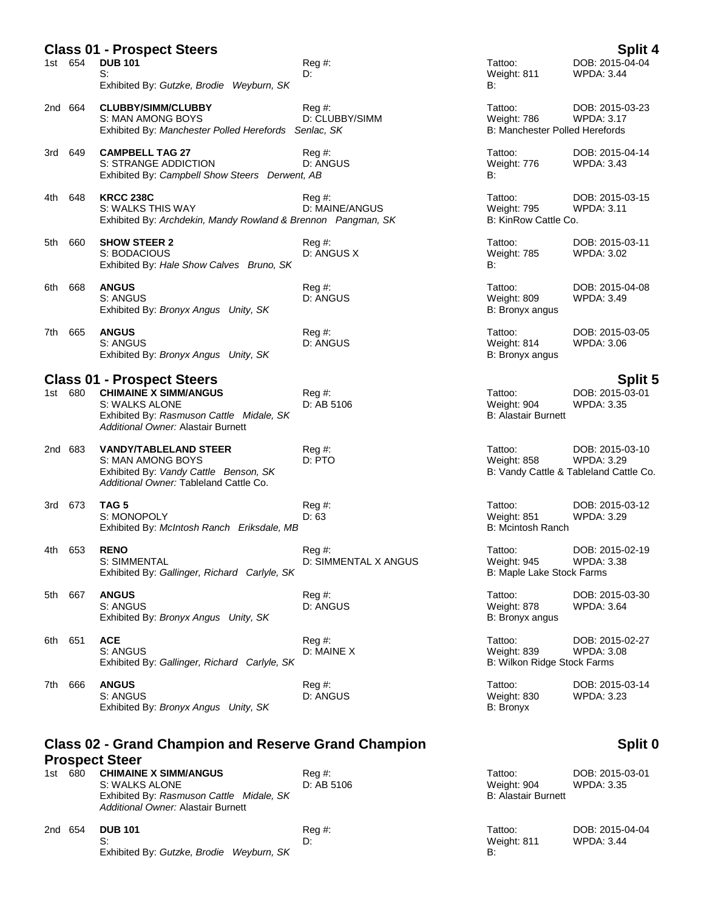| Split 4<br><b>Class 01 - Prospect Steers</b>                           |         |                                                                                                                                                                       |                              |                                                          |                                                                                |
|------------------------------------------------------------------------|---------|-----------------------------------------------------------------------------------------------------------------------------------------------------------------------|------------------------------|----------------------------------------------------------|--------------------------------------------------------------------------------|
|                                                                        | 1st 654 | <b>DUB 101</b><br>S:<br>Exhibited By: Gutzke, Brodie Weyburn, SK                                                                                                      | Reg#<br>D:                   | Tattoo:<br>Weight: 811<br>В:                             | DOB: 2015-04-04<br><b>WPDA: 3.44</b>                                           |
|                                                                        | 2nd 664 | <b>CLUBBY/SIMM/CLUBBY</b><br>S: MAN AMONG BOYS<br>Exhibited By: Manchester Polled Herefords Senlac, SK                                                                | Reg#<br>D: CLUBBY/SIMM       | Tattoo:<br>Weight: 786<br>B: Manchester Polled Herefords | DOB: 2015-03-23<br><b>WPDA: 3.17</b>                                           |
| 3rd                                                                    | 649     | <b>CAMPBELL TAG 27</b><br>S: STRANGE ADDICTION<br>Exhibited By: Campbell Show Steers Derwent, AB                                                                      | Reg#<br>D: ANGUS             | Tattoo:<br>Weight: 776<br>B:                             | DOB: 2015-04-14<br><b>WPDA: 3.43</b>                                           |
| 4th                                                                    | 648     | <b>KRCC 238C</b><br>S: WALKS THIS WAY<br>Exhibited By: Archdekin, Mandy Rowland & Brennon Pangman, SK                                                                 | Reg#<br>D: MAINE/ANGUS       | Tattoo:<br><b>Weight: 795</b><br>B: KinRow Cattle Co.    | DOB: 2015-03-15<br><b>WPDA: 3.11</b>                                           |
| 5th                                                                    | 660     | <b>SHOW STEER 2</b><br>S: BODACIOUS<br>Exhibited By: Hale Show Calves Bruno, SK                                                                                       | Reg#<br>D: ANGUS X           | Tattoo:<br>Weight: 785<br>B:                             | DOB: 2015-03-11<br><b>WPDA: 3.02</b>                                           |
| 6th                                                                    | 668     | <b>ANGUS</b><br>S: ANGUS<br>Exhibited By: Bronyx Angus Unity, SK                                                                                                      | Reg#<br>D: ANGUS             | Tattoo:<br>Weight: 809<br>B: Bronyx angus                | DOB: 2015-04-08<br><b>WPDA: 3.49</b>                                           |
| 7th                                                                    | 665     | <b>ANGUS</b><br>S: ANGUS<br>Exhibited By: Bronyx Angus Unity, SK                                                                                                      | Reg#<br>D: ANGUS             | Tattoo:<br>Weight: 814<br>B: Bronyx angus                | DOB: 2015-03-05<br>WPDA: 3.06                                                  |
|                                                                        | 1st 680 | <b>Class 01 - Prospect Steers</b><br><b>CHIMAINE X SIMM/ANGUS</b><br>S: WALKS ALONE<br>Exhibited By: Rasmuson Cattle Midale, SK<br>Additional Owner: Alastair Burnett | Reg#<br>D: AB 5106           | Tattoo:<br>Weight: 904<br><b>B: Alastair Burnett</b>     | Split 5<br>DOB: 2015-03-01<br><b>WPDA: 3.35</b>                                |
|                                                                        | 2nd 683 | <b>VANDY/TABLELAND STEER</b><br>S: MAN AMONG BOYS<br>Exhibited By: Vandy Cattle Benson, SK<br>Additional Owner: Tableland Cattle Co.                                  | Reg#<br>D: PTO               | Tattoo:<br>Weight: 858                                   | DOB: 2015-03-10<br><b>WPDA: 3.29</b><br>B: Vandy Cattle & Tableland Cattle Co. |
| 3rd                                                                    | 673     | TAG 5<br>S: MONOPOLY<br>Exhibited By: McIntosh Ranch Eriksdale, MB                                                                                                    | Reg #:<br>D: 63              | Tattoo:<br>Weight: 851<br>B: Mcintosh Ranch              | DOB: 2015-03-12<br>WPDA: 3.29                                                  |
| 4th                                                                    | 653     | <b>RENO</b><br><b>S: SIMMENTAL</b><br>Exhibited By: Gallinger, Richard Carlyle, SK                                                                                    | Reg#<br>D: SIMMENTAL X ANGUS | Tattoo:<br>Weight: 945<br>B: Maple Lake Stock Farms      | DOB: 2015-02-19<br><b>WPDA: 3.38</b>                                           |
| 5th                                                                    | 667     | <b>ANGUS</b><br>S: ANGUS<br>Exhibited By: Bronyx Angus Unity, SK                                                                                                      | $\text{Req } #:$<br>D: ANGUS | Tattoo:<br>Weight: 878<br>B: Bronyx angus                | DOB: 2015-03-30<br>WPDA: 3.64                                                  |
| 6th                                                                    | 651     | <b>ACE</b><br>S: ANGUS<br>Exhibited By: Gallinger, Richard Carlyle, SK                                                                                                | Reg #:<br>D: MAINE X         | Tattoo:<br>Weight: 839<br>B: Wilkon Ridge Stock Farms    | DOB: 2015-02-27<br><b>WPDA: 3.08</b>                                           |
| 7th                                                                    | 666     | <b>ANGUS</b><br>S: ANGUS<br>Exhibited By: Bronyx Angus Unity, SK                                                                                                      | Reg #:<br>D: ANGUS           | Tattoo:<br>Weight: 830<br>B: Bronyx                      | DOB: 2015-03-14<br><b>WPDA: 3.23</b>                                           |
| <b>Class 02 - Grand Champion and Reserve Grand Champion</b><br>Split 0 |         |                                                                                                                                                                       |                              |                                                          |                                                                                |

## **Class 02 - Grand Champion and Reserve Grand Champion Prospect Steer**

| 1st. | 680     | <b>CHIMAINE X SIMM/ANGUS</b><br>S: WALKS ALONE                                 | $\text{Req } #:$<br>D: AB 5106 | Tattoo:<br>Weight: 904       | DOB: 2015-03-01<br>WPDA: 3.35 |
|------|---------|--------------------------------------------------------------------------------|--------------------------------|------------------------------|-------------------------------|
|      |         | Exhibited By: Rasmuson Cattle Midale, SK<br>Additional Owner: Alastair Burnett |                                | <b>B: Alastair Burnett</b>   |                               |
|      | 2nd 654 | <b>DUB 101</b><br>Exhibited By: Gutzke, Brodie Weyburn, SK                     | $\text{Re}q \#$ :<br>D:        | Tattoo:<br>Weight: 811<br>B: | DOB: 2015-04-04<br>WPDA: 3.44 |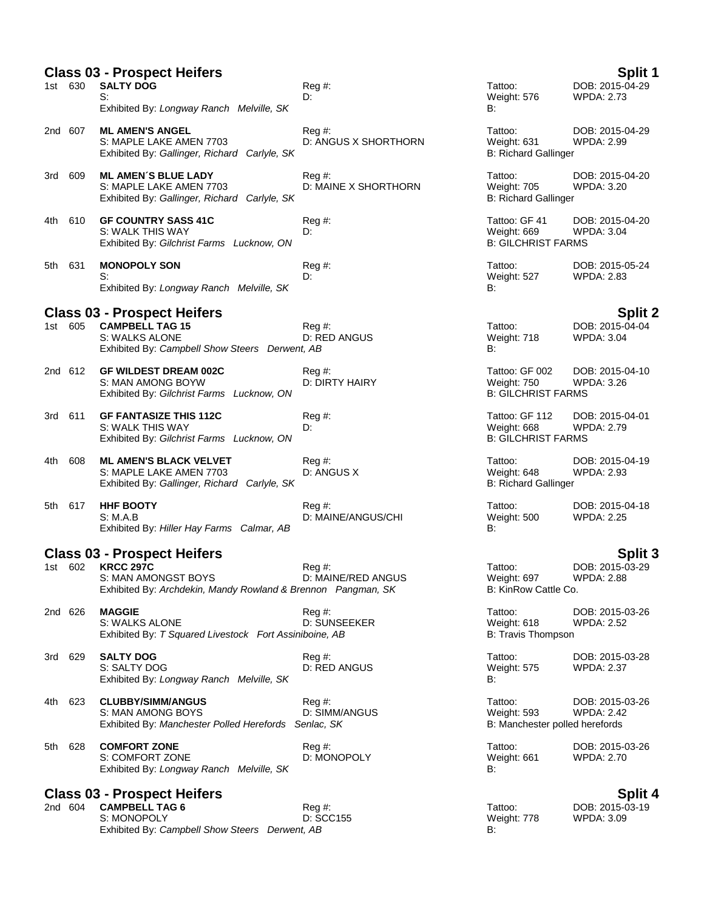| <b>Class 03 - Prospect Heifers</b><br>Split 1 |         |                                                                                                          |                              |                                                                   |                                      |
|-----------------------------------------------|---------|----------------------------------------------------------------------------------------------------------|------------------------------|-------------------------------------------------------------------|--------------------------------------|
|                                               | 1st 630 | <b>SALTY DOG</b><br>S:                                                                                   | $Reg#$ :<br>D:               | Tattoo:<br>Weight: 576                                            | DOB: 2015-04-29<br><b>WPDA: 2.73</b> |
|                                               |         | Exhibited By: Longway Ranch Melville, SK                                                                 |                              | B:                                                                |                                      |
|                                               | 2nd 607 | <b>ML AMEN'S ANGEL</b><br>S: MAPLE LAKE AMEN 7703<br>Exhibited By: Gallinger, Richard Carlyle, SK        | Reg#<br>D: ANGUS X SHORTHORN | Tattoo:<br>Weight: 631<br><b>B: Richard Gallinger</b>             | DOB: 2015-04-29<br>WPDA: 2.99        |
| 3rd                                           | 609     | <b>ML AMEN'S BLUE LADY</b><br>S: MAPLE LAKE AMEN 7703<br>Exhibited By: Gallinger, Richard Carlyle, SK    | Reg#<br>D: MAINE X SHORTHORN | Tattoo:<br>Weight: 705<br><b>B: Richard Gallinger</b>             | DOB: 2015-04-20<br>WPDA: 3.20        |
| 4th.                                          | 610     | <b>GF COUNTRY SASS 41C</b><br>S: WALK THIS WAY<br>Exhibited By: Gilchrist Farms Lucknow, ON              | $Reg#$ :<br>D:               | Tattoo: GF 41<br>Weight: 669<br><b>B: GILCHRIST FARMS</b>         | DOB: 2015-04-20<br><b>WPDA: 3.04</b> |
| 5th                                           | 631     | <b>MONOPOLY SON</b><br>S:<br>Exhibited By: Longway Ranch Melville, SK                                    | Reg#<br>D:                   | Tattoo:<br>Weight: 527<br>B:                                      | DOB: 2015-05-24<br><b>WPDA: 2.83</b> |
|                                               |         | <b>Class 03 - Prospect Heifers</b>                                                                       |                              |                                                                   | <b>Split 2</b>                       |
|                                               | 1st 605 | <b>CAMPBELL TAG 15</b><br>S: WALKS ALONE<br>Exhibited By: Campbell Show Steers Derwent, AB               | Reg #:<br>D: RED ANGUS       | Tattoo:<br>Weight: 718<br>B:                                      | DOB: 2015-04-04<br><b>WPDA: 3.04</b> |
|                                               | 2nd 612 | <b>GF WILDEST DREAM 002C</b><br>S: MAN AMONG BOYW<br>Exhibited By: Gilchrist Farms Lucknow, ON           | Reg#<br>D: DIRTY HAIRY       | Tattoo: GF 002<br><b>Weight: 750</b><br><b>B: GILCHRIST FARMS</b> | DOB: 2015-04-10<br><b>WPDA: 3.26</b> |
|                                               | 3rd 611 | <b>GF FANTASIZE THIS 112C</b><br>S: WALK THIS WAY<br>Exhibited By: Gilchrist Farms Lucknow, ON           | Reg#<br>D:                   | Tattoo: GF 112<br>Weight: 668<br><b>B: GILCHRIST FARMS</b>        | DOB: 2015-04-01<br><b>WPDA: 2.79</b> |
| 4th                                           | 608     | <b>ML AMEN'S BLACK VELVET</b><br>S: MAPLE LAKE AMEN 7703<br>Exhibited By: Gallinger, Richard Carlyle, SK | Reg#<br>D: ANGUS X           | Tattoo:<br>Weight: 648<br><b>B: Richard Gallinger</b>             | DOB: 2015-04-19<br><b>WPDA: 2.93</b> |
|                                               | 5th 617 | <b>HHF BOOTY</b><br>S: M.A.B<br>Exhibited By: Hiller Hay Farms Calmar, AB                                | Reg#<br>D: MAINE/ANGUS/CHI   | Tattoo:<br>Weight: 500<br>B:                                      | DOB: 2015-04-18<br><b>WPDA: 2.25</b> |
| <b>Class 03 - Prospect Heifers</b><br>Split 3 |         |                                                                                                          |                              |                                                                   |                                      |
|                                               | 1st 602 | <b>KRCC 297C</b><br>S: MAN AMONGST BOYS<br>Exhibited By: Archdekin, Mandy Rowland & Brennon Pangman, SK  | Reg #:<br>D: MAINE/RED ANGUS | Tattoo:<br>Weight: 697<br>B: KinRow Cattle Co.                    | DOB: 2015-03-29<br>WPDA: 2.88        |
|                                               | 2nd 626 | <b>MAGGIE</b><br>S: WALKS ALONE<br>Exhibited By: T Squared Livestock Fort Assiniboine, AB                | Reg#<br>D: SUNSEEKER         | Tattoo:<br>Weight: 618<br><b>B: Travis Thompson</b>               | DOB: 2015-03-26<br><b>WPDA: 2.52</b> |
| 3rd                                           | 629     | <b>SALTY DOG</b><br>S: SALTY DOG<br>Exhibited By: Longway Ranch Melville, SK                             | Reg#<br>D: RED ANGUS         | Tattoo:<br><b>Weight: 575</b><br>B:                               | DOB: 2015-03-28<br><b>WPDA: 2.37</b> |
| 4th.                                          | 623     | <b>CLUBBY/SIMM/ANGUS</b><br>S: MAN AMONG BOYS<br>Exhibited By: Manchester Polled Herefords Senlac, SK    | Reg#<br>D: SIMM/ANGUS        | Tattoo:<br><b>Weight: 593</b><br>B: Manchester polled herefords   | DOB: 2015-03-26<br><b>WPDA: 2.42</b> |
| 5th                                           | 628     | <b>COMFORT ZONE</b><br>S: COMFORT ZONE<br>Exhibited By: Longway Ranch Melville, SK                       | Reg#<br>D: MONOPOLY          | Tattoo:<br>Weight: 661<br>В:                                      | DOB: 2015-03-26<br><b>WPDA: 2.70</b> |
|                                               |         | <b>Class 03 - Prospect Heifers</b>                                                                       |                              |                                                                   | <b>Split 4</b>                       |

2nd 604 **CAMPBELL TAG 6** Reg #: Tattoo: DOB: 2015-03-19 S: MONOPOLY D: SCC155 Weight: 778 WPDA: 3.09 Exhibited By: *Campbell Show Steers Derwent, AB* B: